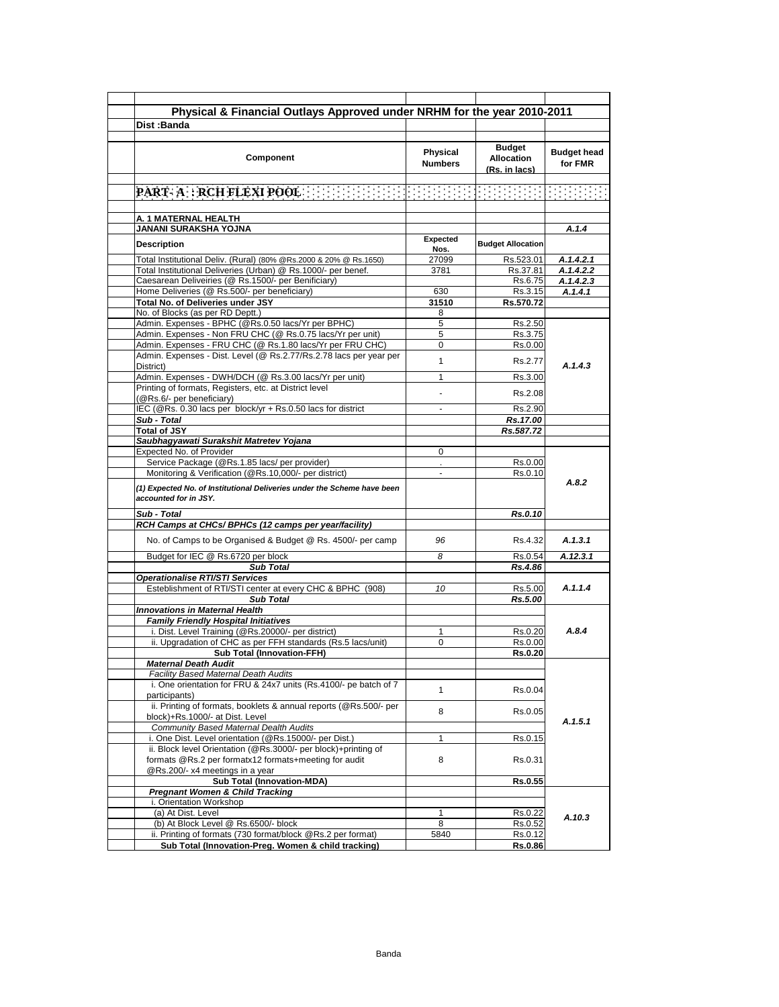| Physical & Financial Outlays Approved under NRHM for the year 2010-2011                                                          |                            |                                                     |                               |
|----------------------------------------------------------------------------------------------------------------------------------|----------------------------|-----------------------------------------------------|-------------------------------|
| Dist:Banda                                                                                                                       |                            |                                                     |                               |
|                                                                                                                                  |                            |                                                     |                               |
| Component                                                                                                                        | Physical<br><b>Numbers</b> | <b>Budget</b><br><b>Allocation</b><br>(Rs. in lacs) | <b>Budget head</b><br>for FMR |
|                                                                                                                                  |                            |                                                     |                               |
| <b>PART-A :: RCH FLEXI POOL</b> : EEEEEEEEEEEEEEEEEEEEEEEEEEEEEEE                                                                |                            |                                                     |                               |
|                                                                                                                                  |                            |                                                     |                               |
| A. 1 MATERNAL HEALTH<br>JANANI SURAKSHA YOJNA                                                                                    |                            |                                                     | A.1.4                         |
|                                                                                                                                  | Expected                   |                                                     |                               |
| <b>Description</b>                                                                                                               | Nos.                       | <b>Budget Allocation</b>                            |                               |
| Total Institutional Deliv. (Rural) (80% @Rs.2000 & 20% @ Rs.1650)                                                                | 27099                      | Rs.523.01                                           | A.1.4.2.1                     |
| Total Institutional Deliveries (Urban) @ Rs.1000/- per benef.                                                                    | 3781                       | Rs.37.81                                            | A.1.4.2.2                     |
| Caesarean Deliveiries (@ Rs.1500/- per Benificiary)                                                                              |                            | Rs.6.75                                             | A.1.4.2.3                     |
| Home Deliveries (@ Rs.500/- per beneficiary)<br>Total No. of Deliveries under JSY                                                | 630<br>31510               | Rs.3.15<br>Rs.570.72                                | A.1.4.1                       |
| No. of Blocks (as per RD Deptt.)                                                                                                 | 8                          |                                                     |                               |
| Admin. Expenses - BPHC (@Rs.0.50 lacs/Yr per BPHC)                                                                               | 5                          | Rs.2.50                                             |                               |
| Admin. Expenses - Non FRU CHC (@ Rs.0.75 lacs/Yr per unit)                                                                       | 5                          | Rs.3.75                                             |                               |
| Admin. Expenses - FRU CHC (@ Rs.1.80 lacs/Yr per FRU CHC)                                                                        | 0                          | Rs.0.00                                             |                               |
| Admin. Expenses - Dist. Level (@ Rs.2.77/Rs.2.78 lacs per year per                                                               | 1                          | Rs.2.77                                             |                               |
| District)<br>Admin. Expenses - DWH/DCH (@ Rs.3.00 lacs/Yr per unit)                                                              | 1                          | Rs.3.00                                             | A.1.4.3                       |
| Printing of formats, Registers, etc. at District level                                                                           |                            |                                                     |                               |
| (@Rs.6/- per beneficiary)                                                                                                        | ٠                          | Rs.2.08                                             |                               |
| IEC (@Rs. 0.30 lacs per block/yr + Rs.0.50 lacs for district                                                                     | $\blacksquare$             | Rs.2.90                                             |                               |
| Sub - Total                                                                                                                      |                            | Rs.17.00                                            |                               |
| <b>Total of JSY</b>                                                                                                              |                            | Rs.587.72                                           |                               |
| Saubhagyawati Surakshit Matretev Yojana<br>Expected No. of Provider                                                              | 0                          |                                                     |                               |
| Service Package (@Rs.1.85 lacs/ per provider)                                                                                    |                            | Rs.0.00                                             |                               |
| Monitoring & Verification (@Rs.10,000/- per district)                                                                            | $\sim$                     | Rs.0.10                                             |                               |
| (1) Expected No. of Institutional Deliveries under the Scheme have been<br>accounted for in JSY.                                 |                            |                                                     | A.8.2                         |
| Sub - Total                                                                                                                      |                            | <b>Rs.0.10</b>                                      |                               |
| RCH Camps at CHCs/ BPHCs (12 camps per year/facility)                                                                            |                            |                                                     |                               |
| No. of Camps to be Organised & Budget @ Rs. 4500/- per camp                                                                      | 96                         | Rs.4.32                                             | A.1.3.1                       |
| Budget for IEC @ Rs.6720 per block                                                                                               | 8                          | Rs.0.54                                             | A.12.3.1                      |
| <b>Sub Total</b>                                                                                                                 |                            | Rs.4.86                                             |                               |
| <b>Operationalise RTI/STI Services</b><br>Esteblishment of RTI/STI center at every CHC & BPHC (908)                              | 10                         |                                                     | A.1.1.4                       |
| <b>Sub Total</b>                                                                                                                 |                            | Rs.5.00<br>Rs.5.00                                  |                               |
| <b>Innovations in Maternal Health</b>                                                                                            |                            |                                                     |                               |
| <b>Family Friendly Hospital Initiatives</b>                                                                                      |                            |                                                     |                               |
| i. Dist. Level Training (@Rs.20000/- per district)                                                                               | 1                          | Rs.0.20                                             | A.8.4                         |
| ii. Upgradation of CHC as per FFH standards (Rs.5 lacs/unit)                                                                     | 0                          | Rs.0.00                                             |                               |
| <b>Sub Total (Innovation-FFH)</b>                                                                                                |                            | Rs.0.20                                             |                               |
| Maternal Death Audit                                                                                                             |                            |                                                     |                               |
| <b>Facility Based Maternal Death Audits</b><br>i. One orientation for FRU & 24x7 units (Rs.4100/- pe batch of 7<br>participants) | 1                          | Rs.0.04                                             |                               |
| ii. Printing of formats, booklets & annual reports (@Rs.500/- per<br>block)+Rs.1000/- at Dist. Level                             | 8                          | Rs.0.05                                             |                               |
| Community Based Maternal Dealth Audits                                                                                           |                            |                                                     | A.1.5.1                       |
| i. One Dist. Level orientation (@Rs.15000/- per Dist.)                                                                           | 1                          | Rs.0.15                                             |                               |
| ii. Block level Orientation (@Rs.3000/- per block)+printing of<br>formats @Rs.2 per formatx12 formats+meeting for audit          | 8                          | Rs.0.31                                             |                               |
| @Rs.200/- x4 meetings in a year                                                                                                  |                            |                                                     |                               |
| Sub Total (Innovation-MDA)<br><b>Pregnant Women &amp; Child Tracking</b>                                                         |                            | <b>Rs.0.55</b>                                      |                               |
| i. Orientation Workshop                                                                                                          |                            |                                                     |                               |
| (a) At Dist. Level                                                                                                               | 1                          | Rs.0.22                                             |                               |
| (b) At Block Level @ Rs.6500/- block                                                                                             | 8                          | Rs.0.52                                             | A.10.3                        |
| ii. Printing of formats (730 format/block @Rs.2 per format)                                                                      | 5840                       | Rs.0.12                                             |                               |
| Sub Total (Innovation-Preg. Women & child tracking)                                                                              |                            | Rs.0.86                                             |                               |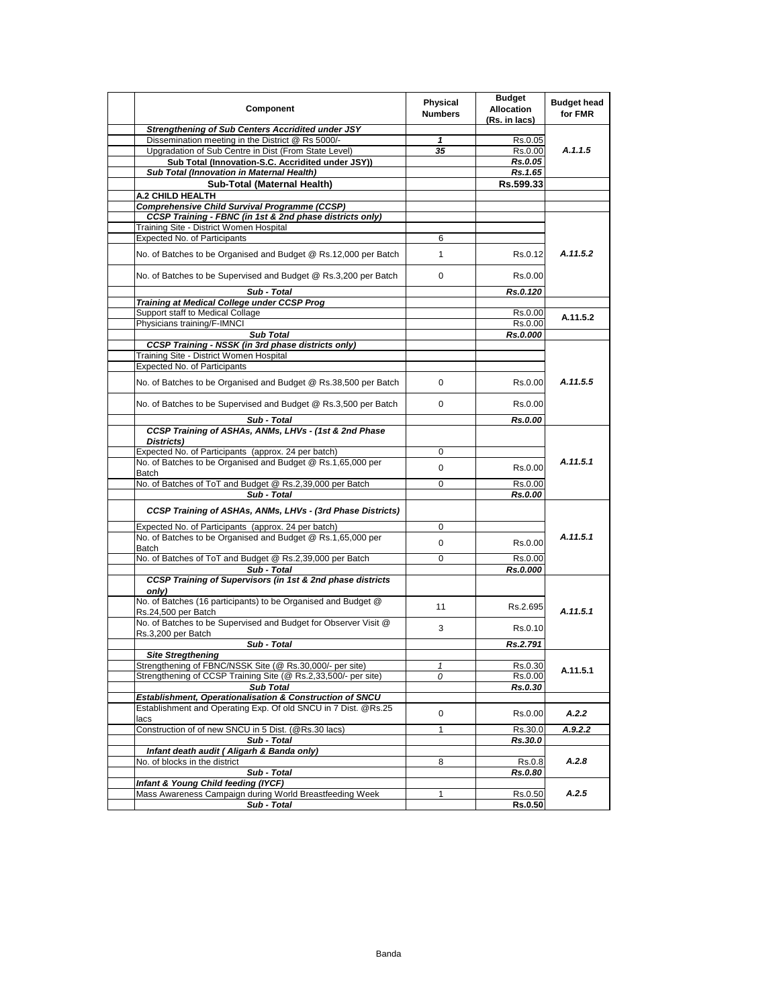| Component                                                                            | Physical<br><b>Numbers</b> | <b>Budget</b><br><b>Allocation</b><br>(Rs. in lacs) | <b>Budget head</b><br>for FMR |
|--------------------------------------------------------------------------------------|----------------------------|-----------------------------------------------------|-------------------------------|
| <b>Strengthening of Sub Centers Accridited under JSY</b>                             |                            |                                                     |                               |
| Dissemination meeting in the District @ Rs 5000/-                                    | 1                          | Rs.0.05                                             |                               |
| Upgradation of Sub Centre in Dist (From State Level)                                 | 35                         | Rs.0.00                                             | A.1.1.5                       |
| Sub Total (Innovation-S.C. Accridited under JSY))                                    |                            | Rs.0.05                                             |                               |
| Sub Total (Innovation in Maternal Health)                                            |                            | Rs.1.65                                             |                               |
| Sub-Total (Maternal Health)                                                          |                            | Rs.599.33                                           |                               |
| A.2 CHILD HEALTH                                                                     |                            |                                                     |                               |
| Comprehensive Child Survival Programme (CCSP)                                        |                            |                                                     |                               |
| CCSP Training - FBNC (in 1st & 2nd phase districts only)                             |                            |                                                     |                               |
| Training Site - District Women Hospital                                              |                            |                                                     |                               |
| Expected No. of Participants                                                         | 6                          |                                                     |                               |
| No. of Batches to be Organised and Budget @ Rs.12,000 per Batch                      | $\mathbf{1}$               | Rs.0.12                                             | A.11.5.2                      |
| No. of Batches to be Supervised and Budget @ Rs.3,200 per Batch                      | 0                          | Rs.0.00                                             |                               |
| Sub - Total                                                                          |                            | Rs.0.120                                            |                               |
| Training at Medical College under CCSP Prog                                          |                            |                                                     |                               |
| Support staff to Medical Collage                                                     |                            | Rs.0.00                                             | A.11.5.2                      |
| Physicians training/F-IMNCI                                                          |                            | Rs.0.00                                             |                               |
| <b>Sub Total</b>                                                                     |                            | Rs.0.000                                            |                               |
| <b>CCSP Training - NSSK (in 3rd phase districts only)</b>                            |                            |                                                     |                               |
| Training Site - District Women Hospital                                              |                            |                                                     |                               |
| Expected No. of Participants                                                         |                            |                                                     |                               |
| No. of Batches to be Organised and Budget @ Rs.38,500 per Batch                      | 0                          | Rs.0.00                                             | A.11.5.5                      |
| No. of Batches to be Supervised and Budget @ Rs.3,500 per Batch                      | $\Omega$                   | Rs.0.00                                             |                               |
| Sub - Total                                                                          |                            | Rs.0.00                                             |                               |
| CCSP Training of ASHAs, ANMs, LHVs - (1st & 2nd Phase                                |                            |                                                     |                               |
| Districts)                                                                           |                            |                                                     |                               |
| Expected No. of Participants (approx. 24 per batch)                                  | 0                          |                                                     | A.11.5.1                      |
| No. of Batches to be Organised and Budget @ Rs.1,65,000 per                          | 0                          | Rs.0.00                                             |                               |
| Batch                                                                                | $\Omega$                   |                                                     |                               |
| No. of Batches of ToT and Budget @ Rs.2,39,000 per Batch<br>Sub - Total              |                            | Rs.0.00<br>Rs.0.00                                  |                               |
|                                                                                      |                            |                                                     |                               |
| CCSP Training of ASHAs, ANMs, LHVs - (3rd Phase Districts)                           |                            |                                                     |                               |
| Expected No. of Participants (approx. 24 per batch)                                  | 0                          |                                                     |                               |
| No. of Batches to be Organised and Budget @ Rs.1,65,000 per                          |                            |                                                     | A.11.5.1                      |
| Batch                                                                                | 0                          | Rs.0.00                                             |                               |
| No. of Batches of ToT and Budget @ Rs.2,39,000 per Batch                             | $\Omega$                   | Rs.0.00                                             |                               |
| Sub - Total                                                                          |                            | Rs.0.000                                            |                               |
| CCSP Training of Supervisors (in 1st & 2nd phase districts<br>only)                  |                            |                                                     |                               |
| No. of Batches (16 participants) to be Organised and Budget @<br>Rs.24,500 per Batch | 11                         | Rs.2.695                                            | A.11.5.1                      |
| No. of Batches to be Supervised and Budget for Observer Visit @                      | 3                          | Rs.0.10                                             |                               |
| Rs.3,200 per Batch                                                                   |                            |                                                     |                               |
| Sub - Total                                                                          |                            | Rs.2.791                                            |                               |
| <b>Site Stregthening</b>                                                             |                            |                                                     |                               |
| Strengthening of FBNC/NSSK Site (@ Rs.30,000/- per site)                             | 1                          | Rs.0.30                                             | A.11.5.1                      |
| Strengthening of CCSP Training Site (@ Rs.2,33,500/- per site)                       | 0                          | Rs.0.00                                             |                               |
| <b>Sub Total</b>                                                                     |                            | Rs.0.30                                             |                               |
| Establishment, Operationalisation & Construction of SNCU                             |                            |                                                     |                               |
| Establishment and Operating Exp. Of old SNCU in 7 Dist. @Rs.25<br>lacs               | 0                          | Rs.0.00                                             | A.2.2                         |
| Construction of of new SNCU in 5 Dist. (@Rs.30 lacs)                                 | 1                          | Rs.30.0                                             | A.9.2.2                       |
| Sub - Total                                                                          |                            | Rs.30.0                                             |                               |
| Infant death audit (Aligarh & Banda only)                                            |                            |                                                     |                               |
| No. of blocks in the district                                                        | 8                          | Rs.0.8                                              | A.2.8                         |
| Sub - Total                                                                          |                            | Rs.0.80                                             |                               |
| Infant & Young Child feeding (IYCF)                                                  |                            |                                                     |                               |
| Mass Awareness Campaign during World Breastfeeding Week<br>Sub - Total               | 1                          | Rs.0.50                                             | A.2.5                         |
|                                                                                      |                            | <b>Rs.0.50</b>                                      |                               |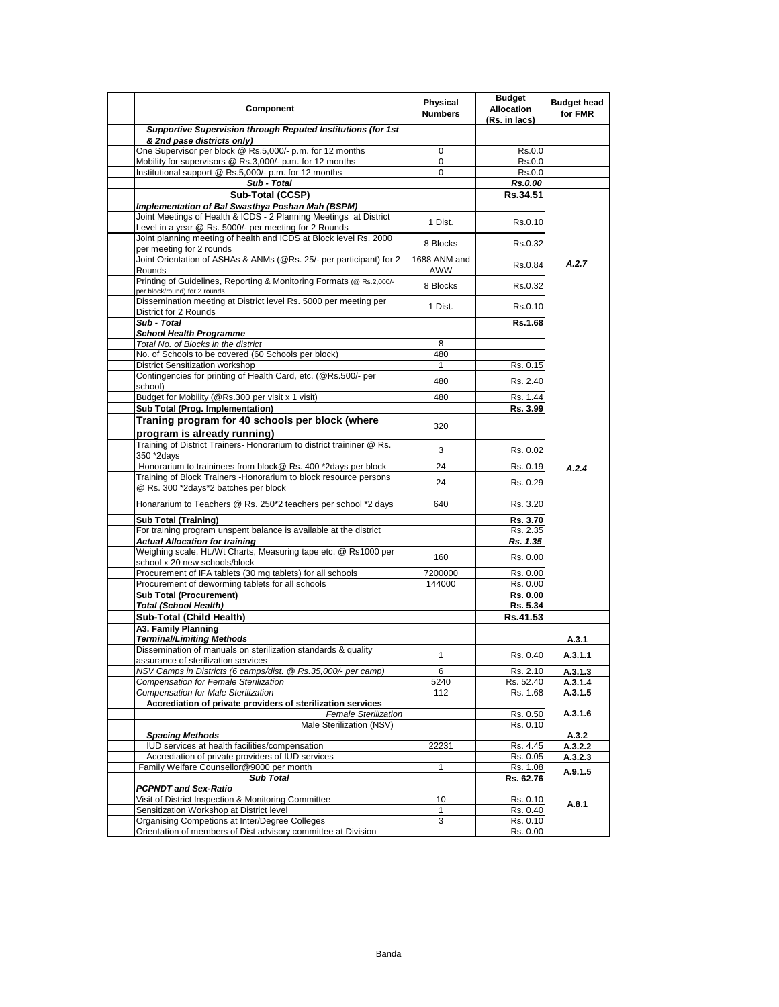| Component                                                                                                                  | Physical<br><b>Numbers</b> | <b>Budget</b><br><b>Allocation</b><br>(Rs. in lacs) | <b>Budget head</b><br>for FMR |
|----------------------------------------------------------------------------------------------------------------------------|----------------------------|-----------------------------------------------------|-------------------------------|
| Supportive Supervision through Reputed Institutions (for 1st<br>& 2nd pase districts only)                                 |                            |                                                     |                               |
| One Supervisor per block @ Rs.5,000/- p.m. for 12 months                                                                   | 0                          | Rs.0.0                                              |                               |
| Mobility for supervisors @ Rs.3,000/- p.m. for 12 months                                                                   | $\Omega$                   | Rs.0.0                                              |                               |
| Institutional support @ Rs.5,000/- p.m. for 12 months                                                                      | $\mathbf 0$                | Rs.0.0                                              |                               |
| Sub - Total                                                                                                                |                            | Rs.0.00                                             |                               |
| Sub-Total (CCSP)                                                                                                           |                            | Rs.34.51                                            |                               |
| Implementation of Bal Swasthya Poshan Mah (BSPM)                                                                           |                            |                                                     |                               |
| Joint Meetings of Health & ICDS - 2 Planning Meetings at District                                                          | 1 Dist.                    | Rs.0.10                                             |                               |
| Level in a year @ Rs. 5000/- per meeting for 2 Rounds<br>Joint planning meeting of health and ICDS at Block level Rs. 2000 | 8 Blocks                   | Rs.0.32                                             |                               |
| per meeting for 2 rounds<br>Joint Orientation of ASHAs & ANMs (@Rs. 25/- per participant) for 2                            | 1688 ANM and               | Rs.0.84                                             | A.2.7                         |
| Rounds<br>Printing of Guidelines, Reporting & Monitoring Formats (@ Rs.2,000/-                                             | AWW                        |                                                     |                               |
| per block/round) for 2 rounds<br>Dissemination meeting at District level Rs. 5000 per meeting per                          | 8 Blocks                   | Rs.0.32                                             |                               |
| District for 2 Rounds                                                                                                      | 1 Dist.                    | Rs.0.10                                             |                               |
| Sub - Total                                                                                                                |                            | Rs.1.68                                             |                               |
| <b>School Health Programme</b>                                                                                             |                            |                                                     |                               |
| Total No. of Blocks in the district                                                                                        | 8                          |                                                     |                               |
| No. of Schools to be covered (60 Schools per block)                                                                        | 480                        |                                                     |                               |
| <b>District Sensitization workshop</b><br>Contingencies for printing of Health Card, etc. (@Rs.500/- per                   | 1                          | Rs. 0.15                                            |                               |
| school)<br>Budget for Mobility (@Rs.300 per visit x 1 visit)                                                               | 480<br>480                 | Rs. 2.40<br>Rs. 1.44                                |                               |
| Sub Total (Prog. Implementation)                                                                                           |                            | Rs. 3.99                                            |                               |
| Traning program for 40 schools per block (where                                                                            |                            |                                                     |                               |
| program is already running)                                                                                                | 320                        |                                                     |                               |
| Training of District Trainers- Honorarium to district traininer @ Rs.<br>350 *2days                                        | 3                          | Rs. 0.02                                            |                               |
| Honorarium to traininees from block@ Rs. 400 *2days per block                                                              | 24                         | Rs. 0.19                                            | A.2.4                         |
| Training of Block Trainers - Honorarium to block resource persons<br>@ Rs. 300 *2days*2 batches per block                  | 24                         | Rs. 0.29                                            |                               |
| Honararium to Teachers @ Rs. 250*2 teachers per school *2 days                                                             | 640                        | Rs. 3.20                                            |                               |
|                                                                                                                            |                            |                                                     |                               |
| <b>Sub Total (Training)</b><br>For training program unspent balance is available at the district                           |                            | Rs. 3.70<br>Rs. 2.35                                |                               |
| <b>Actual Allocation for training</b>                                                                                      |                            | Rs. 1.35                                            |                               |
| Weighing scale, Ht./Wt Charts, Measuring tape etc. @ Rs1000 per                                                            |                            |                                                     |                               |
| school x 20 new schools/block                                                                                              | 160                        | Rs. 0.00                                            |                               |
| Procurement of IFA tablets (30 mg tablets) for all schools                                                                 | 7200000                    | Rs. 0.00                                            |                               |
| Procurement of deworming tablets for all schools                                                                           | 144000                     | Rs. 0.00                                            |                               |
| <b>Sub Total (Procurement)</b>                                                                                             |                            | Rs. 0.00                                            |                               |
| <b>Total (School Health)</b>                                                                                               |                            | Rs. 5.34                                            |                               |
| Sub-Total (Child Health)                                                                                                   |                            | Rs.41.53                                            |                               |
| A3. Family Planning                                                                                                        |                            |                                                     |                               |
| Terminal/Limiting Methods                                                                                                  |                            |                                                     | A.3.1                         |
| Dissemination of manuals on sterilization standards & quality<br>assurance of sterilization services                       | $\mathbf{1}$               | Rs. 0.40                                            | A.3.1.1                       |
| NSV Camps in Districts (6 camps/dist. @ Rs.35,000/- per camp)                                                              | 6                          | Rs. 2.10                                            | A.3.1.3                       |
| Compensation for Female Sterilization                                                                                      | 5240                       | Rs. 52.40                                           | A.3.1.4                       |
| <b>Compensation for Male Sterilization</b>                                                                                 | 112                        | Rs. 1.68                                            | A.3.1.5                       |
| Accrediation of private providers of sterilization services                                                                |                            |                                                     |                               |
| <b>Female Sterilization</b>                                                                                                |                            | Rs. 0.50                                            | A.3.1.6                       |
| Male Sterilization (NSV)                                                                                                   |                            | Rs. 0.10                                            |                               |
| <b>Spacing Methods</b>                                                                                                     |                            |                                                     | A.3.2                         |
| IUD services at health facilities/compensation                                                                             | 22231                      | Rs. 4.45                                            | A.3.2.2                       |
| Accrediation of private providers of IUD services                                                                          |                            | Rs. 0.05                                            | A.3.2.3                       |
| Family Welfare Counsellor@9000 per month<br><b>Sub Total</b>                                                               | $\mathbf{1}$               | Rs. 1.08<br>Rs. 62.76                               | A.9.1.5                       |
| <b>PCPNDT and Sex-Ratio</b>                                                                                                |                            |                                                     |                               |
| Visit of District Inspection & Monitoring Committee                                                                        | 10                         | Rs. 0.10                                            |                               |
| Sensitization Workshop at District level                                                                                   | $\mathbf{1}$               | Rs. 0.40                                            | A.8.1                         |
| Organising Competions at Inter/Degree Colleges                                                                             | 3                          | Rs. 0.10                                            |                               |
| Orientation of members of Dist advisory committee at Division                                                              |                            | Rs. 0.00                                            |                               |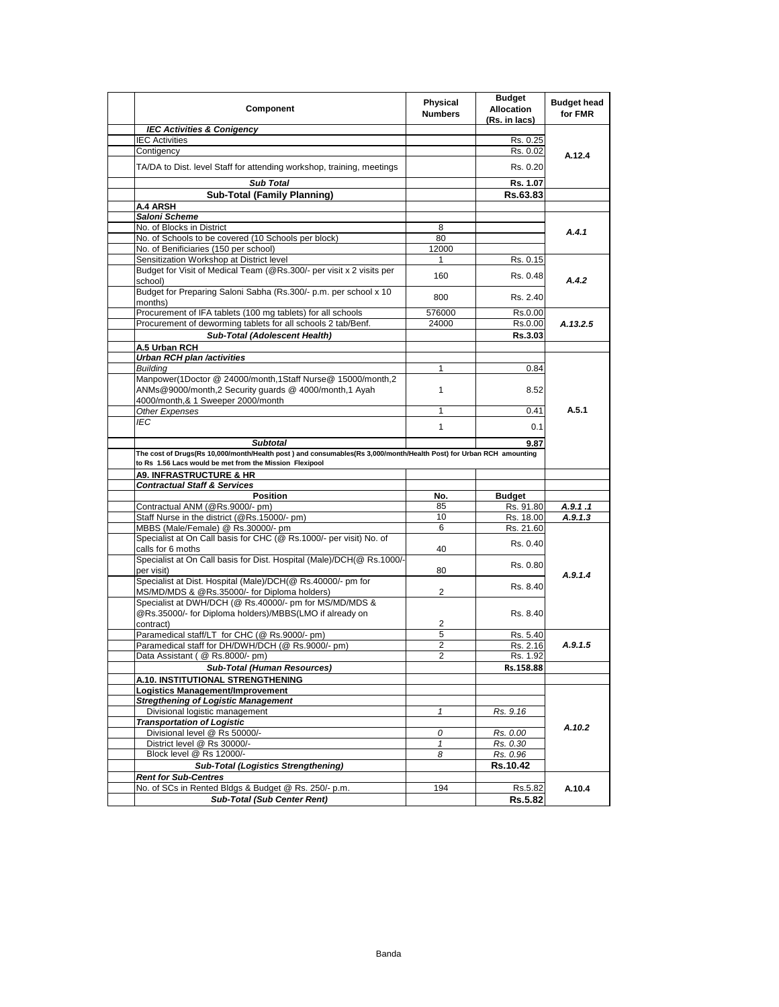| Component                                                                                                          | <b>Physical</b><br><b>Numbers</b> | <b>Budget</b><br><b>Allocation</b><br>(Rs. in lacs) | <b>Budget head</b><br>for FMR |
|--------------------------------------------------------------------------------------------------------------------|-----------------------------------|-----------------------------------------------------|-------------------------------|
| <b>IEC Activities &amp; Conigency</b>                                                                              |                                   |                                                     |                               |
| <b>IEC Activities</b>                                                                                              |                                   | Rs. 0.25                                            |                               |
| Contigency                                                                                                         |                                   | Rs. 0.02                                            | A.12.4                        |
| TA/DA to Dist. level Staff for attending workshop, training, meetings                                              |                                   | Rs. 0.20                                            |                               |
| <b>Sub Total</b>                                                                                                   |                                   | Rs. 1.07                                            |                               |
| <b>Sub-Total (Family Planning)</b>                                                                                 |                                   | Rs.63.83                                            |                               |
| A.4 ARSH                                                                                                           |                                   |                                                     |                               |
| Saloni Scheme                                                                                                      |                                   |                                                     |                               |
| No. of Blocks in District                                                                                          | 8                                 |                                                     |                               |
| No. of Schools to be covered (10 Schools per block)                                                                | 80                                |                                                     | A.4.1                         |
| No. of Benificiaries (150 per school)                                                                              | 12000                             |                                                     |                               |
| Sensitization Workshop at District level                                                                           | 1                                 | Rs. 0.15                                            |                               |
| Budget for Visit of Medical Team (@Rs.300/- per visit x 2 visits per                                               |                                   |                                                     |                               |
| school)                                                                                                            | 160                               | Rs. 0.48                                            | A.4.2                         |
| Budget for Preparing Saloni Sabha (Rs.300/- p.m. per school x 10<br>months)                                        | 800                               | Rs. 2.40                                            |                               |
| Procurement of IFA tablets (100 mg tablets) for all schools                                                        | 576000                            | Rs.0.00                                             |                               |
| Procurement of deworming tablets for all schools 2 tab/Benf.                                                       | 24000                             | Rs.0.00                                             | A.13.2.5                      |
| Sub-Total (Adolescent Health)                                                                                      |                                   | Rs.3.03                                             |                               |
| A.5 Urban RCH                                                                                                      |                                   |                                                     |                               |
| <b>Urban RCH plan /activities</b>                                                                                  |                                   |                                                     |                               |
|                                                                                                                    | $\mathbf{1}$                      |                                                     |                               |
| <b>Building</b><br>Manpower(1Doctor @ 24000/month,1Staff Nurse@ 15000/month,2                                      |                                   | 0.84                                                |                               |
| ANMs@9000/month,2 Security guards @ 4000/month,1 Ayah<br>4000/month,& 1 Sweeper 2000/month                         | 1                                 | 8.52                                                |                               |
| <b>Other Expenses</b>                                                                                              | 1                                 | 0.41                                                | A.5.1                         |
| IEC                                                                                                                |                                   |                                                     |                               |
|                                                                                                                    | 1                                 | 0.1                                                 |                               |
| <b>Subtotal</b>                                                                                                    |                                   | 9.87                                                |                               |
| The cost of Drugs(Rs 10,000/month/Health post) and consumables(Rs 3,000/month/Health Post) for Urban RCH amounting |                                   |                                                     |                               |
| to Rs 1.56 Lacs would be met from the Mission Flexipool                                                            |                                   |                                                     |                               |
| <b>A9. INFRASTRUCTURE &amp; HR</b>                                                                                 |                                   |                                                     |                               |
| <b>Contractual Staff &amp; Services</b>                                                                            |                                   |                                                     |                               |
| Position                                                                                                           | No.                               | <b>Budget</b>                                       |                               |
| Contractual ANM (@Rs.9000/- pm)                                                                                    | 85                                | Rs. 91.80                                           | A.9.1.1                       |
| Staff Nurse in the district (@Rs.15000/- pm)                                                                       | 10                                | Rs. 18.00                                           | A.9.1.3                       |
| MBBS (Male/Female) @ Rs.30000/- pm                                                                                 | 6                                 | Rs. 21.60                                           |                               |
| Specialist at On Call basis for CHC (@ Rs.1000/- per visit) No. of<br>calls for 6 moths                            | 40                                | Rs. 0.40                                            |                               |
| Specialist at On Call basis for Dist. Hospital (Male)/DCH(@ Rs.1000/-<br>per visit)                                | 80                                | Rs. 0.80                                            |                               |
| Specialist at Dist. Hospital (Male)/DCH(@ Rs.40000/- pm for                                                        |                                   |                                                     | A.9.1.4                       |
| MS/MD/MDS & @Rs.35000/- for Diploma holders)                                                                       | 2                                 | Rs. 8.40                                            |                               |
| Specialist at DWH/DCH (@ Rs.40000/- pm for MS/MD/MDS &<br>@Rs.35000/- for Diploma holders)/MBBS(LMO if already on  |                                   | Rs. 8.40                                            |                               |
| contract)                                                                                                          | 2                                 |                                                     |                               |
| Paramedical staff/LT for CHC (@ Rs.9000/- pm)                                                                      | 5                                 | Rs. 5.40                                            |                               |
| Paramedical staff for DH/DWH/DCH (@ Rs.9000/- pm)                                                                  | 2                                 | Rs. 2.16                                            | A.9.1.5                       |
| Data Assistant ( @ Rs.8000/- pm)                                                                                   | 2                                 | Rs. 1.92                                            |                               |
| <b>Sub-Total (Human Resources)</b>                                                                                 |                                   | Rs.158.88                                           |                               |
| A.10. INSTITUTIONAL STRENGTHENING                                                                                  |                                   |                                                     |                               |
| Logistics Management/Improvement                                                                                   |                                   |                                                     |                               |
| <b>Stregthening of Logistic Management</b>                                                                         |                                   |                                                     |                               |
| Divisional logistic management                                                                                     | 1                                 | Rs. 9.16                                            |                               |
| <b>Transportation of Logistic</b>                                                                                  |                                   |                                                     | A.10.2                        |
| Divisional level @ Rs 50000/-                                                                                      | 0                                 | Rs. 0.00                                            |                               |
| District level @ Rs 30000/-                                                                                        | $\mathbf{1}$                      | Rs. 0.30                                            |                               |
| Block level @ Rs 12000/-                                                                                           | 8                                 | Rs. 0.96                                            |                               |
| <b>Sub-Total (Logistics Strengthening)</b>                                                                         |                                   | Rs.10.42                                            |                               |
| <b>Rent for Sub-Centres</b>                                                                                        |                                   |                                                     |                               |
| No. of SCs in Rented Bldgs & Budget @ Rs. 250/- p.m.                                                               | 194                               | Rs.5.82                                             | A.10.4                        |
| <b>Sub-Total (Sub Center Rent)</b>                                                                                 |                                   | <b>Rs.5.82</b>                                      |                               |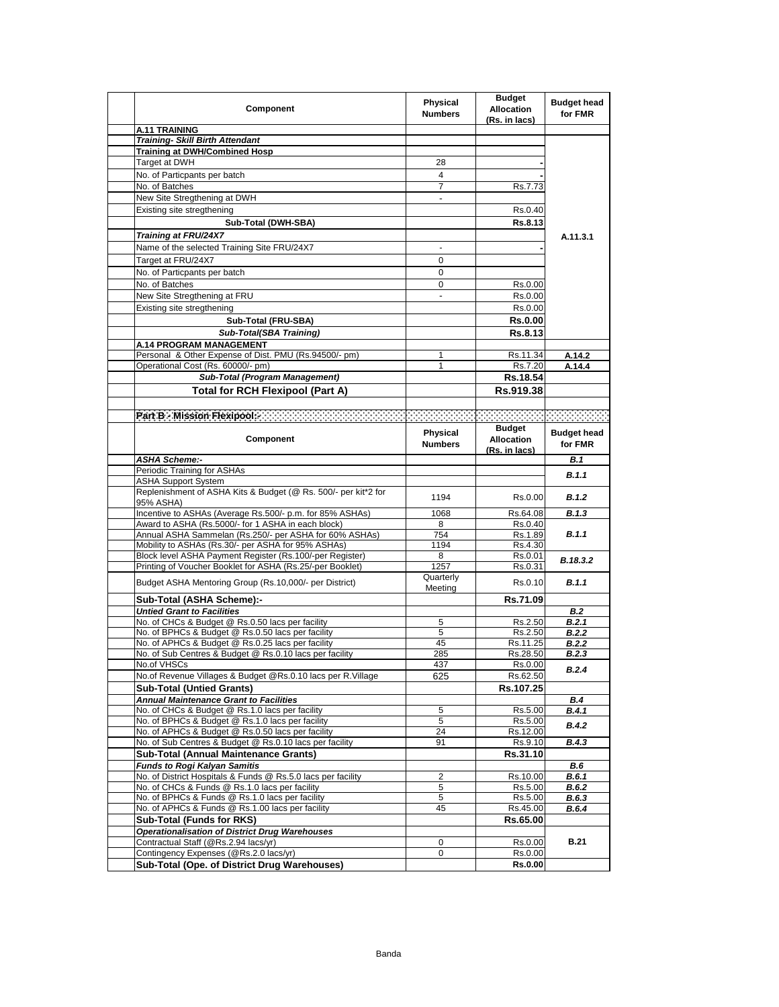| Component                                                                                                      | Physical<br><b>Numbers</b> | <b>Budget</b><br><b>Allocation</b><br>(Rs. in lacs) | <b>Budget head</b><br>for FMR |
|----------------------------------------------------------------------------------------------------------------|----------------------------|-----------------------------------------------------|-------------------------------|
| A.11 TRAINING                                                                                                  |                            |                                                     |                               |
| <b>Training- Skill Birth Attendant</b>                                                                         |                            |                                                     |                               |
| <b>Training at DWH/Combined Hosp</b>                                                                           |                            |                                                     |                               |
| Target at DWH                                                                                                  | 28                         |                                                     |                               |
| No. of Particpants per batch<br>No. of Batches                                                                 | 4<br>$\overline{7}$        | Rs.7.73                                             |                               |
| New Site Stregthening at DWH                                                                                   | $\blacksquare$             |                                                     |                               |
| Existing site stregthening                                                                                     |                            | Rs.0.40                                             |                               |
| Sub-Total (DWH-SBA)                                                                                            |                            | Rs.8.13                                             |                               |
| Training at FRU/24X7                                                                                           |                            |                                                     | A.11.3.1                      |
| Name of the selected Training Site FRU/24X7                                                                    | $\blacksquare$             |                                                     |                               |
| Target at FRU/24X7                                                                                             | 0                          |                                                     |                               |
| No. of Particpants per batch                                                                                   | 0                          |                                                     |                               |
| No. of Batches                                                                                                 | 0                          | Rs.0.00                                             |                               |
| New Site Stregthening at FRU                                                                                   |                            | Rs.0.00                                             |                               |
| Existing site stregthening                                                                                     |                            | Rs.0.00                                             |                               |
| Sub-Total (FRU-SBA)                                                                                            |                            | Rs.0.00                                             |                               |
| Sub-Total(SBA Training)                                                                                        |                            | <b>Rs.8.13</b>                                      |                               |
| A.14 PROGRAM MANAGEMENT                                                                                        |                            |                                                     |                               |
| Personal & Other Expense of Dist. PMU (Rs.94500/- pm)                                                          | 1                          | Rs.11.34                                            | A.14.2                        |
| Operational Cost (Rs. 60000/- pm)                                                                              | 1                          | Rs.7.20                                             | A.14.4                        |
| <b>Sub-Total (Program Management)</b>                                                                          |                            | Rs.18.54                                            |                               |
| <b>Total for RCH Flexipool (Part A)</b>                                                                        |                            | Rs.919.38                                           |                               |
|                                                                                                                |                            |                                                     |                               |
| Part Bi-Mission Rexposite and account and account of the contract of the contract of the contract of           |                            |                                                     |                               |
| Component                                                                                                      | Physical                   | <b>Budget</b><br><b>Allocation</b>                  | <b>Budget head</b>            |
|                                                                                                                | <b>Numbers</b>             | (Rs. in lacs)                                       | for FMR                       |
| <b>ASHA Scheme:-</b>                                                                                           |                            |                                                     | <b>B.1</b>                    |
| Periodic Training for ASHAs                                                                                    |                            |                                                     | <b>B.1.1</b>                  |
| <b>ASHA Support System</b><br>Replenishment of ASHA Kits & Budget (@ Rs. 500/- per kit*2 for                   |                            |                                                     |                               |
| 95% ASHA)                                                                                                      | 1194                       | Rs.0.00                                             | B.1.2                         |
| Incentive to ASHAs (Average Rs.500/- p.m. for 85% ASHAs)                                                       | 1068                       | Rs.64.08                                            | B.1.3                         |
| Award to ASHA (Rs.5000/- for 1 ASHA in each block)                                                             | 8                          | Rs.0.40                                             |                               |
| Annual ASHA Sammelan (Rs.250/- per ASHA for 60% ASHAs)                                                         | 754                        | Rs.1.89                                             | B.1.1                         |
| Mobility to ASHAs (Rs.30/- per ASHA for 95% ASHAs)                                                             | 1194                       | Rs.4.30                                             |                               |
| Block level ASHA Payment Register (Rs.100/-per Register)                                                       | 8<br>1257                  | Rs.0.01                                             | B.18.3.2                      |
| Printing of Voucher Booklet for ASHA (Rs.25/-per Booklet)                                                      | Quarterly                  | Rs.0.31                                             |                               |
| Budget ASHA Mentoring Group (Rs.10,000/- per District)                                                         | Meeting                    | Rs.0.10                                             | B.1.1                         |
| Sub-Total (ASHA Scheme):-                                                                                      |                            | Rs.71.09                                            |                               |
| <b>Untied Grant to Facilities</b>                                                                              |                            |                                                     | <b>B.2</b>                    |
| No. of CHCs & Budget @ Rs.0.50 lacs per facility                                                               | 5                          | Rs.2.50                                             | B.2.1                         |
| No. of BPHCs & Budget @ Rs.0.50 lacs per facility                                                              | 5                          | Rs.2.50                                             | B.2.2                         |
| No. of APHCs & Budget @ Rs.0.25 lacs per facility                                                              | 45                         | Rs.11.25                                            | B.2.2                         |
| No. of Sub Centres & Budget @ Rs.0.10 lacs per facility<br>No.of VHSCs                                         | 285<br>437                 | Rs.28.50<br>Rs.0.00                                 | B.2.3                         |
| No.of Revenue Villages & Budget @Rs.0.10 lacs per R.Village                                                    | 625                        | Rs.62.50                                            | <b>B.2.4</b>                  |
| <b>Sub-Total (Untied Grants)</b>                                                                               |                            | Rs.107.25                                           |                               |
| <b>Annual Maintenance Grant to Facilities</b>                                                                  |                            |                                                     | <b>B.4</b>                    |
| No. of CHCs & Budget @ Rs.1.0 lacs per facility                                                                | 5                          | Rs.5.00                                             | B.4.1                         |
| No. of BPHCs & Budget @ Rs.1.0 lacs per facility                                                               | 5                          | Rs.5.00                                             | B.4.2                         |
| No. of APHCs & Budget @ Rs.0.50 lacs per facility                                                              | 24                         | Rs.12.00                                            |                               |
| No. of Sub Centres & Budget @ Rs.0.10 lacs per facility                                                        | 91                         | Rs.9.10                                             | B.4.3                         |
| Sub-Total (Annual Maintenance Grants)                                                                          |                            | Rs.31.10                                            |                               |
| <b>Funds to Rogi Kalyan Samitis</b>                                                                            |                            |                                                     | B.6                           |
| No. of District Hospitals & Funds @ Rs.5.0 lacs per facility<br>No. of CHCs & Funds @ Rs.1.0 lacs per facility | 2<br>5                     | Rs.10.00<br>Rs.5.00                                 | B.6.1<br>B.6.2                |
| No. of BPHCs & Funds @ Rs.1.0 lacs per facility                                                                | 5                          | Rs.5.00                                             | B.6.3                         |
| No. of APHCs & Funds @ Rs.1.00 lacs per facility                                                               | 45                         | Rs.45.00                                            | B.6.4                         |
| Sub-Total (Funds for RKS)                                                                                      |                            | Rs.65.00                                            |                               |
| <b>Operationalisation of District Drug Warehouses</b>                                                          |                            |                                                     |                               |
| Contractual Staff (@Rs.2.94 lacs/yr)                                                                           | 0                          | Rs.0.00                                             | B.21                          |
| Contingency Expenses (@Rs.2.0 lacs/yr)                                                                         | 0                          | Rs.0.00                                             |                               |
| Sub-Total (Ope. of District Drug Warehouses)                                                                   |                            | <b>Rs.0.00</b>                                      |                               |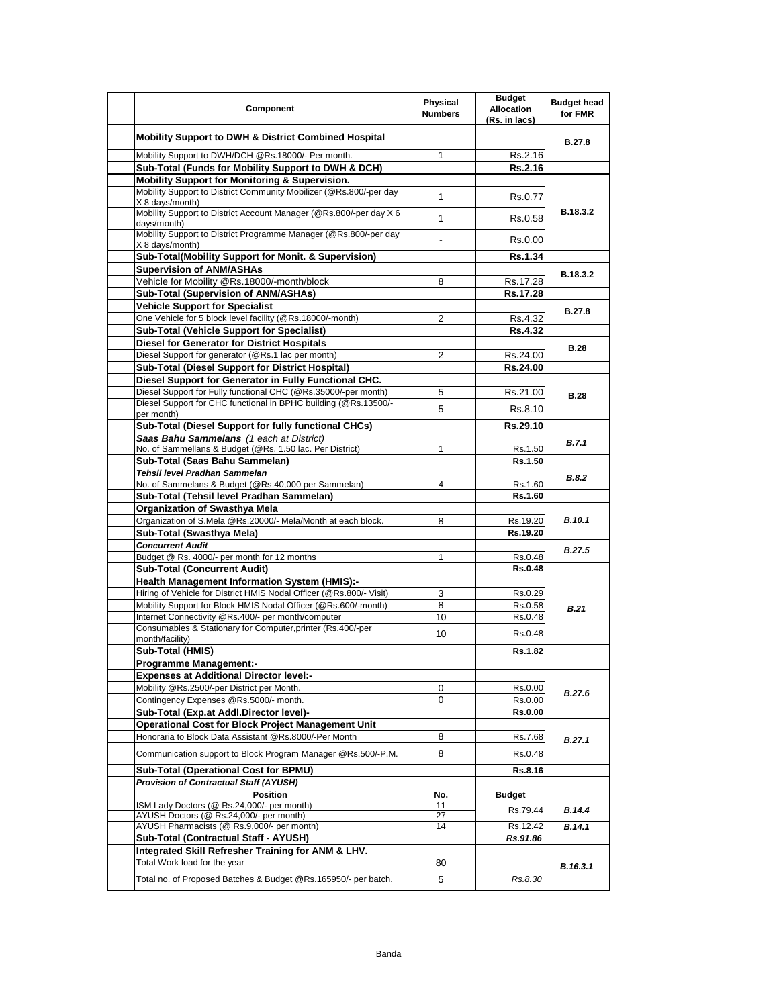| Component                                                                                                                         | Physical<br><b>Numbers</b> | <b>Budget</b><br><b>Allocation</b><br>(Rs. in lacs) | <b>Budget head</b><br>for FMR |
|-----------------------------------------------------------------------------------------------------------------------------------|----------------------------|-----------------------------------------------------|-------------------------------|
| <b>Mobility Support to DWH &amp; District Combined Hospital</b>                                                                   |                            |                                                     | <b>B.27.8</b>                 |
| Mobility Support to DWH/DCH @Rs.18000/- Per month.                                                                                | 1                          | Rs.2.16                                             |                               |
| Sub-Total (Funds for Mobility Support to DWH & DCH)                                                                               |                            | <b>Rs.2.16</b>                                      |                               |
| Mobility Support for Monitoring & Supervision.                                                                                    |                            |                                                     |                               |
| Mobility Support to District Community Mobilizer (@Rs.800/-per day<br>X 8 days/month)                                             | 1                          | Rs.0.77                                             |                               |
| Mobility Support to District Account Manager (@Rs.800/-per day X 6<br>days/month)                                                 | $\mathbf 1$                | Rs.0.58                                             | B.18.3.2                      |
| Mobility Support to District Programme Manager (@Rs.800/-per day<br>X 8 days/month)                                               | $\overline{a}$             | Rs.0.00                                             |                               |
| Sub-Total(Mobility Support for Monit. & Supervision)                                                                              |                            | <b>Rs.1.34</b>                                      |                               |
| <b>Supervision of ANM/ASHAs</b>                                                                                                   |                            |                                                     |                               |
| Vehicle for Mobility @Rs.18000/-month/block                                                                                       | 8                          | Rs.17.28                                            | B.18.3.2                      |
| Sub-Total (Supervision of ANM/ASHAs)                                                                                              |                            | Rs.17.28                                            |                               |
| <b>Vehicle Support for Specialist</b>                                                                                             |                            |                                                     |                               |
| One Vehicle for 5 block level facility (@Rs.18000/-month)                                                                         | 2                          | Rs.4.32                                             | <b>B.27.8</b>                 |
| <b>Sub-Total (Vehicle Support for Specialist)</b>                                                                                 |                            | <b>Rs.4.32</b>                                      |                               |
| <b>Diesel for Generator for District Hospitals</b>                                                                                |                            |                                                     |                               |
| Diesel Support for generator (@Rs.1 lac per month)                                                                                | 2                          | Rs.24.00                                            | <b>B.28</b>                   |
| Sub-Total (Diesel Support for District Hospital)                                                                                  |                            | Rs.24.00                                            |                               |
|                                                                                                                                   |                            |                                                     |                               |
| Diesel Support for Generator in Fully Functional CHC.                                                                             |                            |                                                     |                               |
| Diesel Support for Fully functional CHC (@Rs.35000/-per month)<br>Diesel Support for CHC functional in BPHC building (@Rs.13500/- | 5                          | Rs.21.00                                            | <b>B.28</b>                   |
| per month)                                                                                                                        | 5                          | Rs.8.10                                             |                               |
| Sub-Total (Diesel Support for fully functional CHCs)                                                                              |                            | Rs.29.10                                            |                               |
| Saas Bahu Sammelans (1 each at District)                                                                                          |                            |                                                     | <b>B.7.1</b>                  |
| No. of Sammellans & Budget (@Rs. 1.50 lac. Per District)                                                                          | 1                          | Rs.1.50                                             |                               |
| Sub-Total (Saas Bahu Sammelan)                                                                                                    |                            | Rs.1.50                                             |                               |
| Tehsil level Pradhan Sammelan                                                                                                     |                            |                                                     | B.8.2                         |
| No. of Sammelans & Budget (@Rs.40,000 per Sammelan)                                                                               | 4                          | Rs.1.60                                             |                               |
| Sub-Total (Tehsil level Pradhan Sammelan)                                                                                         |                            | Rs.1.60                                             |                               |
| <b>Organization of Swasthya Mela</b>                                                                                              |                            |                                                     |                               |
| Organization of S.Mela @Rs.20000/- Mela/Month at each block.                                                                      | 8                          | Rs.19.20                                            | B.10.1                        |
| Sub-Total (Swasthya Mela)                                                                                                         |                            | Rs.19.20                                            |                               |
| <b>Concurrent Audit</b>                                                                                                           |                            |                                                     | B.27.5                        |
| Budget @ Rs. 4000/- per month for 12 months                                                                                       | 1                          | Rs.0.48                                             |                               |
| <b>Sub-Total (Concurrent Audit)</b>                                                                                               |                            | <b>Rs.0.48</b>                                      |                               |
| <b>Health Management Information System (HMIS):-</b>                                                                              |                            |                                                     |                               |
| Hiring of Vehicle for District HMIS Nodal Officer (@Rs.800/- Visit)                                                               | 3                          | Rs.0.29                                             |                               |
| Mobility Support for Block HMIS Nodal Officer (@Rs.600/-month)                                                                    | 8                          | Rs.0.58                                             | <b>B.21</b>                   |
| Internet Connectivity @Rs.400/- per month/computer                                                                                | 10                         | Rs.0.48                                             |                               |
| Consumables & Stationary for Computer, printer (Rs.400/-per<br>month/facility)                                                    | 10                         | Rs.0.48                                             |                               |
| Sub-Total (HMIS)                                                                                                                  |                            | Rs.1.82                                             |                               |
| <b>Programme Management:-</b>                                                                                                     |                            |                                                     |                               |
| <b>Expenses at Additional Director level:-</b>                                                                                    |                            |                                                     |                               |
| Mobility @Rs.2500/-per District per Month.                                                                                        | 0                          | Rs.0.00                                             |                               |
| Contingency Expenses @Rs.5000/- month.                                                                                            | 0                          | Rs.0.00                                             | B.27.6                        |
| Sub-Total (Exp.at Addl.Director level)-                                                                                           |                            | Rs.0.00                                             |                               |
| <b>Operational Cost for Block Project Management Unit</b>                                                                         |                            |                                                     |                               |
| Honoraria to Block Data Assistant @Rs.8000/-Per Month                                                                             | 8                          | Rs.7.68                                             |                               |
| Communication support to Block Program Manager @Rs.500/-P.M.                                                                      | 8                          | Rs.0.48                                             | B.27.1                        |
|                                                                                                                                   |                            |                                                     |                               |
| Sub-Total (Operational Cost for BPMU)                                                                                             |                            | Rs.8.16                                             |                               |
| <b>Provision of Contractual Staff (AYUSH)</b>                                                                                     |                            |                                                     |                               |
| Position                                                                                                                          | No.                        | <b>Budget</b>                                       |                               |
| ISM Lady Doctors (@ Rs.24,000/- per month)<br>AYUSH Doctors (@ Rs.24,000/- per month)                                             | 11                         | Rs.79.44                                            | B.14.4                        |
| AYUSH Pharmacists (@ Rs.9,000/- per month)                                                                                        | 27<br>14                   | Rs.12.42                                            | B.14.1                        |
| Sub-Total (Contractual Staff - AYUSH)                                                                                             |                            | Rs.91.86                                            |                               |
|                                                                                                                                   |                            |                                                     |                               |
| Integrated Skill Refresher Training for ANM & LHV.                                                                                |                            |                                                     |                               |
| Total Work load for the year                                                                                                      | 80                         |                                                     | B.16.3.1                      |
| Total no. of Proposed Batches & Budget @Rs.165950/- per batch.                                                                    | 5                          | Rs.8.30                                             |                               |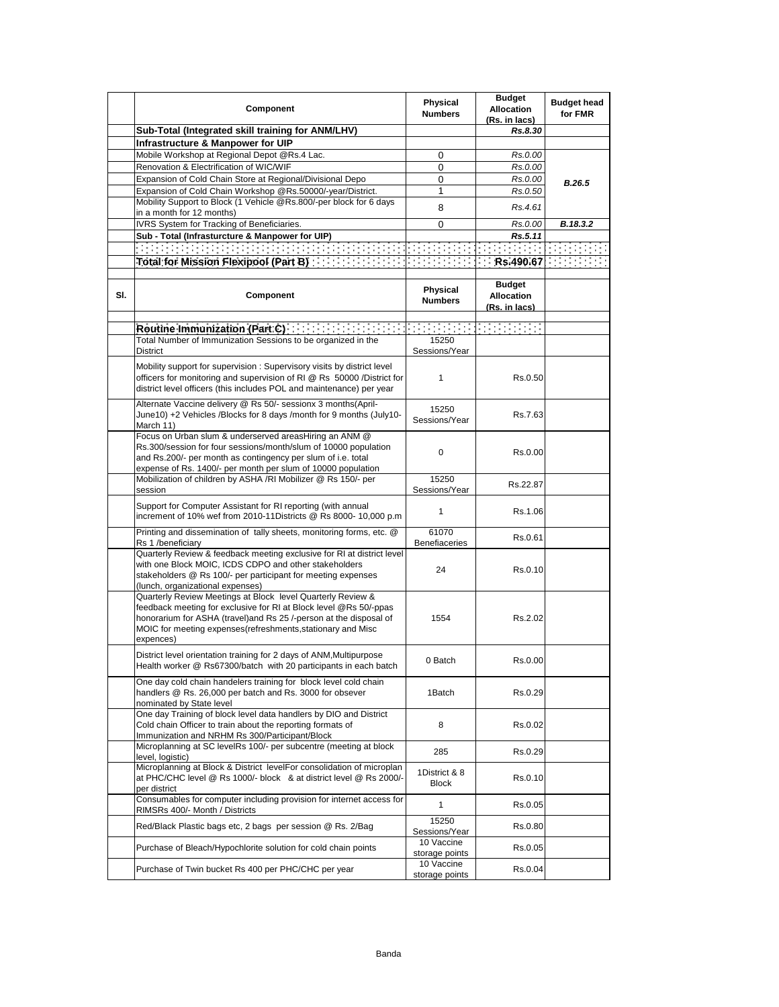|     | Component                                                                                                                                                                                                                                                                           | <b>Physical</b><br><b>Numbers</b> | <b>Budget</b><br><b>Allocation</b><br>(Rs. in lacs) | <b>Budget head</b><br>for FMR |
|-----|-------------------------------------------------------------------------------------------------------------------------------------------------------------------------------------------------------------------------------------------------------------------------------------|-----------------------------------|-----------------------------------------------------|-------------------------------|
|     | Sub-Total (Integrated skill training for ANM/LHV)                                                                                                                                                                                                                                   |                                   | Rs.8.30                                             |                               |
|     | Infrastructure & Manpower for UIP                                                                                                                                                                                                                                                   |                                   |                                                     |                               |
|     | Mobile Workshop at Regional Depot @Rs.4 Lac.                                                                                                                                                                                                                                        | 0                                 | Rs.0.00                                             |                               |
|     | Renovation & Electrification of WIC/WIF                                                                                                                                                                                                                                             | 0                                 | Rs.0.00                                             |                               |
|     | Expansion of Cold Chain Store at Regional/Divisional Depo                                                                                                                                                                                                                           | 0                                 | Rs.0.00                                             | B.26.5                        |
|     | Expansion of Cold Chain Workshop @Rs.50000/-year/District.                                                                                                                                                                                                                          | 1                                 | Rs.0.50                                             |                               |
|     | Mobility Support to Block (1 Vehicle @Rs.800/-per block for 6 days<br>in a month for 12 months)                                                                                                                                                                                     | 8                                 | Rs.4.61                                             |                               |
|     | IVRS System for Tracking of Beneficiaries.                                                                                                                                                                                                                                          | 0                                 | Rs.0.00                                             | B.18.3.2                      |
|     | Sub - Total (Infrasturcture & Manpower for UIP)                                                                                                                                                                                                                                     |                                   | Rs.5.11                                             |                               |
|     | 19191919191919191919191919191919191                                                                                                                                                                                                                                                 |                                   |                                                     |                               |
|     |                                                                                                                                                                                                                                                                                     |                                   |                                                     |                               |
|     |                                                                                                                                                                                                                                                                                     |                                   |                                                     |                               |
| SI. | Component                                                                                                                                                                                                                                                                           | Physical<br><b>Numbers</b>        | <b>Budget</b><br><b>Allocation</b><br>(Rs. in lacs) |                               |
|     |                                                                                                                                                                                                                                                                                     |                                   | Francesco                                           |                               |
|     | Routine Immunization (Part C) and the contract of the contract of<br>Total Number of Immunization Sessions to be organized in the                                                                                                                                                   | 15250                             |                                                     |                               |
|     | District                                                                                                                                                                                                                                                                            | Sessions/Year                     |                                                     |                               |
|     | Mobility support for supervision: Supervisory visits by district level<br>officers for monitoring and supervision of RI @ Rs 50000 / District for<br>district level officers (this includes POL and maintenance) per year                                                           | 1                                 | Rs.0.50                                             |                               |
|     | Alternate Vaccine delivery @ Rs 50/- sessionx 3 months(April-<br>June10) +2 Vehicles /Blocks for 8 days /month for 9 months (July10-<br>March 11)                                                                                                                                   | 15250<br>Sessions/Year            | Rs.7.63                                             |                               |
|     | Focus on Urban slum & underserved areasHiring an ANM @<br>Rs.300/session for four sessions/month/slum of 10000 population<br>and Rs.200/- per month as contingency per slum of i.e. total<br>expense of Rs. 1400/- per month per slum of 10000 population                           | 0                                 | Rs.0.00                                             |                               |
|     | Mobilization of children by ASHA /RI Mobilizer @ Rs 150/- per<br>session                                                                                                                                                                                                            | 15250<br>Sessions/Year            | Rs.22.87                                            |                               |
|     | Support for Computer Assistant for RI reporting (with annual<br>increment of 10% wef from 2010-11Districts @ Rs 8000- 10,000 p.m                                                                                                                                                    | 1                                 | Rs.1.06                                             |                               |
|     | Printing and dissemination of tally sheets, monitoring forms, etc. @<br>Rs 1 /beneficiary                                                                                                                                                                                           | 61070<br><b>Benefiaceries</b>     | Rs.0.61                                             |                               |
|     | Quarterly Review & feedback meeting exclusive for RI at district level<br>with one Block MOIC, ICDS CDPO and other stakeholders<br>stakeholders @ Rs 100/- per participant for meeting expenses<br>(lunch, organizational expenses)                                                 | 24                                | Rs.0.10                                             |                               |
|     | Quarterly Review Meetings at Block level Quarterly Review &<br>feedback meeting for exclusive for RI at Block level @Rs 50/-ppas<br>honorarium for ASHA (travel) and Rs 25 /-person at the disposal of<br>MOIC for meeting expenses (refreshments, stationary and Misc<br>expences) | 1554                              | Rs.2.02                                             |                               |
|     | District level orientation training for 2 days of ANM, Multipurpose<br>Health worker @ Rs67300/batch with 20 participants in each batch                                                                                                                                             | 0 Batch                           | Rs.0.00                                             |                               |
|     | One day cold chain handelers training for block level cold chain<br>handlers @ Rs. 26,000 per batch and Rs. 3000 for obsever<br>nominated by State level                                                                                                                            | 1Batch                            | Rs.0.29                                             |                               |
|     | One day Training of block level data handlers by DIO and District<br>Cold chain Officer to train about the reporting formats of<br>Immunization and NRHM Rs 300/Participant/Block                                                                                                   | 8                                 | Rs.0.02                                             |                               |
|     | Microplanning at SC levelRs 100/- per subcentre (meeting at block<br>level, logistic)                                                                                                                                                                                               | 285                               | Rs.0.29                                             |                               |
|     | Microplanning at Block & District levelFor consolidation of microplan<br>at PHC/CHC level @ Rs 1000/- block & at district level @ Rs 2000/-<br>per district                                                                                                                         | 1District & 8<br><b>Block</b>     | Rs.0.10                                             |                               |
|     | Consumables for computer including provision for internet access for<br>RIMSRs 400/- Month / Districts                                                                                                                                                                              | 1                                 | Rs.0.05                                             |                               |
|     | Red/Black Plastic bags etc, 2 bags per session @ Rs. 2/Bag                                                                                                                                                                                                                          | 15250<br>Sessions/Year            | Rs.0.80                                             |                               |
|     | Purchase of Bleach/Hypochlorite solution for cold chain points                                                                                                                                                                                                                      | 10 Vaccine<br>storage points      | Rs.0.05                                             |                               |
|     | Purchase of Twin bucket Rs 400 per PHC/CHC per year                                                                                                                                                                                                                                 | 10 Vaccine<br>storage points      | Rs.0.04                                             |                               |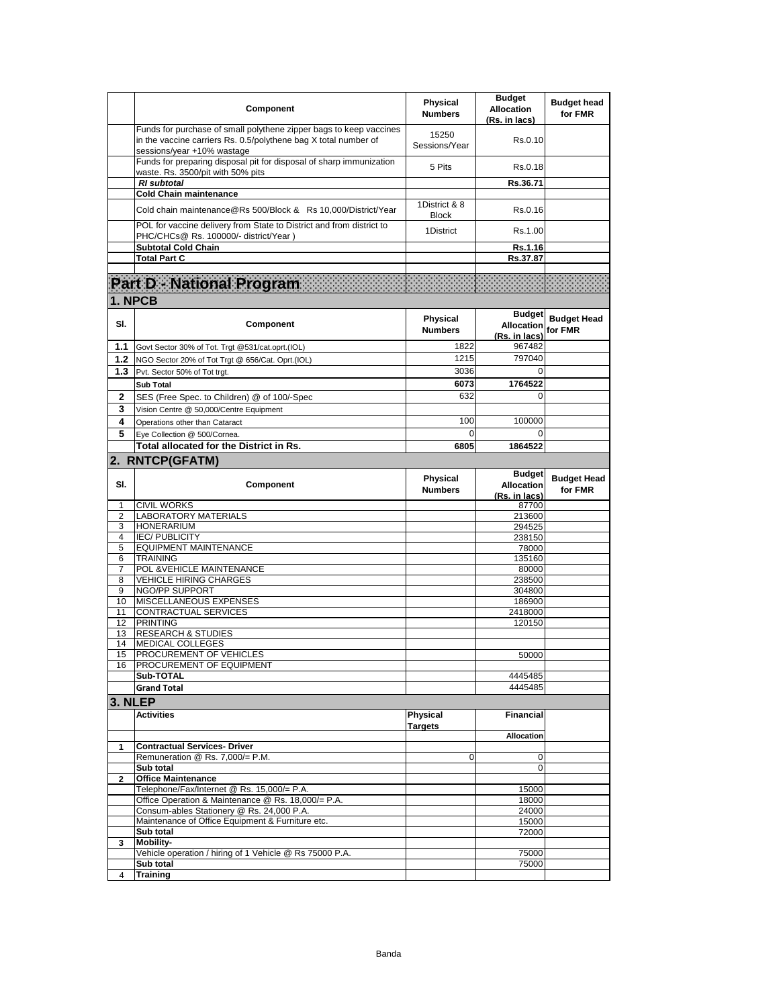|                         | Component                                                                                                                                                           | <b>Physical</b><br><b>Numbers</b> | <b>Budget</b><br><b>Allocation</b><br>(Rs. in lacs) | <b>Budget head</b><br>for FMR |
|-------------------------|---------------------------------------------------------------------------------------------------------------------------------------------------------------------|-----------------------------------|-----------------------------------------------------|-------------------------------|
|                         | Funds for purchase of small polythene zipper bags to keep vaccines<br>in the vaccine carriers Rs. 0.5/polythene bag X total number of<br>sessions/year +10% wastage | 15250<br>Sessions/Year            | Rs.0.10                                             |                               |
|                         | Funds for preparing disposal pit for disposal of sharp immunization<br>waste. Rs. 3500/pit with 50% pits                                                            | 5 Pits                            | Rs.0.18                                             |                               |
|                         | <b>RI</b> subtotal                                                                                                                                                  |                                   | Rs.36.71                                            |                               |
|                         | <b>Cold Chain maintenance</b>                                                                                                                                       | 1District & 8                     |                                                     |                               |
|                         | Cold chain maintenance@Rs 500/Block & Rs 10,000/District/Year                                                                                                       | <b>Block</b>                      | Rs.0.16                                             |                               |
|                         | POL for vaccine delivery from State to District and from district to<br>PHC/CHCs@ Rs. 100000/- district/Year)                                                       | 1District                         | Rs.1.00                                             |                               |
|                         | <b>Subtotal Cold Chain</b><br><b>Total Part C</b>                                                                                                                   |                                   | Rs.1.16<br>Rs.37.87                                 |                               |
|                         |                                                                                                                                                                     |                                   |                                                     |                               |
|                         | Part D - National Program<br>1. NPCB                                                                                                                                |                                   |                                                     |                               |
| SI.                     | Component                                                                                                                                                           | Physical<br><b>Numbers</b>        | <b>Budget</b><br>Allocation<br>(Rs. in lacs)        | <b>Budget Head</b><br>for FMR |
| 1.1                     | Govt Sector 30% of Tot. Trgt @531/cat.oprt.(IOL)                                                                                                                    | 1822                              | 967482                                              |                               |
| 1.2                     | NGO Sector 20% of Tot Trgt @ 656/Cat. Oprt.(IOL)                                                                                                                    | 1215                              | 797040                                              |                               |
| 1.3                     | Pvt. Sector 50% of Tot trgt.                                                                                                                                        | 3036<br>6073                      | $\Omega$<br>1764522                                 |                               |
| 2                       | Sub Total<br>SES (Free Spec. to Children) @ of 100/-Spec                                                                                                            | 632                               | 0                                                   |                               |
| 3                       | Vision Centre @ 50,000/Centre Equipment                                                                                                                             |                                   |                                                     |                               |
| 4                       | Operations other than Cataract                                                                                                                                      | 100                               | 100000                                              |                               |
| 5                       | Eye Collection @ 500/Cornea.                                                                                                                                        | 0                                 | $\Omega$                                            |                               |
|                         | Total allocated for the District in Rs.                                                                                                                             | 6805                              | 1864522                                             |                               |
|                         | 2. RNTCP(GFATM)                                                                                                                                                     |                                   | <b>Budget</b>                                       |                               |
| SI.                     | Component                                                                                                                                                           | Physical<br><b>Numbers</b>        | <b>Allocation</b><br>(Rs. in lacs)                  | <b>Budget Head</b><br>for FMR |
| 1<br>2                  | <b>CIVIL WORKS</b><br><b>LABORATORY MATERIALS</b>                                                                                                                   |                                   | 87700<br>213600                                     |                               |
| 3                       | <b>HONERARIUM</b>                                                                                                                                                   |                                   | 294525                                              |                               |
|                         |                                                                                                                                                                     |                                   |                                                     |                               |
| 4                       | <b>IEC/PUBLICITY</b>                                                                                                                                                |                                   | 238150                                              |                               |
| 5                       | <b>EQUIPMENT MAINTENANCE</b>                                                                                                                                        |                                   | 78000                                               |                               |
| 6<br>7                  | <b>TRAINING</b><br>POL &VEHICLE MAINTENANCE                                                                                                                         |                                   | 135160<br>80000                                     |                               |
| 8                       | <b>VEHICLE HIRING CHARGES</b>                                                                                                                                       |                                   | 238500                                              |                               |
| 9                       | <b>NGO/PP SUPPORT</b>                                                                                                                                               |                                   | 304800                                              |                               |
| 10<br>11                | MISCELLANEOUS EXPENSES<br>CONTRACTUAL SERVICES                                                                                                                      |                                   | 186900<br>2418000                                   |                               |
| 12                      | <b>PRINTING</b>                                                                                                                                                     |                                   | 120150                                              |                               |
| 13<br>14                | <b>RESEARCH &amp; STUDIES</b><br><b>MEDICAL COLLEGES</b>                                                                                                            |                                   |                                                     |                               |
| 15                      | PROCUREMENT OF VEHICLES                                                                                                                                             |                                   | 50000                                               |                               |
| 16                      | <b>PROCUREMENT OF EQUIPMENT</b>                                                                                                                                     |                                   |                                                     |                               |
|                         | Sub-TOTAL<br><b>Grand Total</b>                                                                                                                                     |                                   | 4445485<br>4445485                                  |                               |
| 3. NLEP                 |                                                                                                                                                                     |                                   |                                                     |                               |
|                         | <b>Activities</b>                                                                                                                                                   | <b>Physical</b><br><b>Targets</b> | Financial                                           |                               |
|                         |                                                                                                                                                                     |                                   | <b>Allocation</b>                                   |                               |
| 1                       | <b>Contractual Services- Driver</b><br>Remuneration @ Rs. 7,000/= P.M.                                                                                              | 0                                 | 0                                                   |                               |
|                         | Sub total                                                                                                                                                           |                                   | 0                                                   |                               |
| $\overline{\mathbf{2}}$ | <b>Office Maintenance</b>                                                                                                                                           |                                   |                                                     |                               |
|                         | Telephone/Fax/Internet @ Rs. 15,000/= P.A.<br>Office Operation & Maintenance @ Rs. 18,000/= P.A.                                                                    |                                   | 15000<br>18000                                      |                               |
|                         | Consum-ables Stationery @ Rs. 24,000 P.A.                                                                                                                           |                                   | 24000                                               |                               |
|                         | Maintenance of Office Equipment & Furniture etc.                                                                                                                    |                                   | 15000                                               |                               |
| 3                       | Sub total<br><b>Mobility</b>                                                                                                                                        |                                   | 72000                                               |                               |
|                         | Vehicle operation / hiring of 1 Vehicle @ Rs 75000 P.A.<br>Sub total                                                                                                |                                   | 75000<br>75000                                      |                               |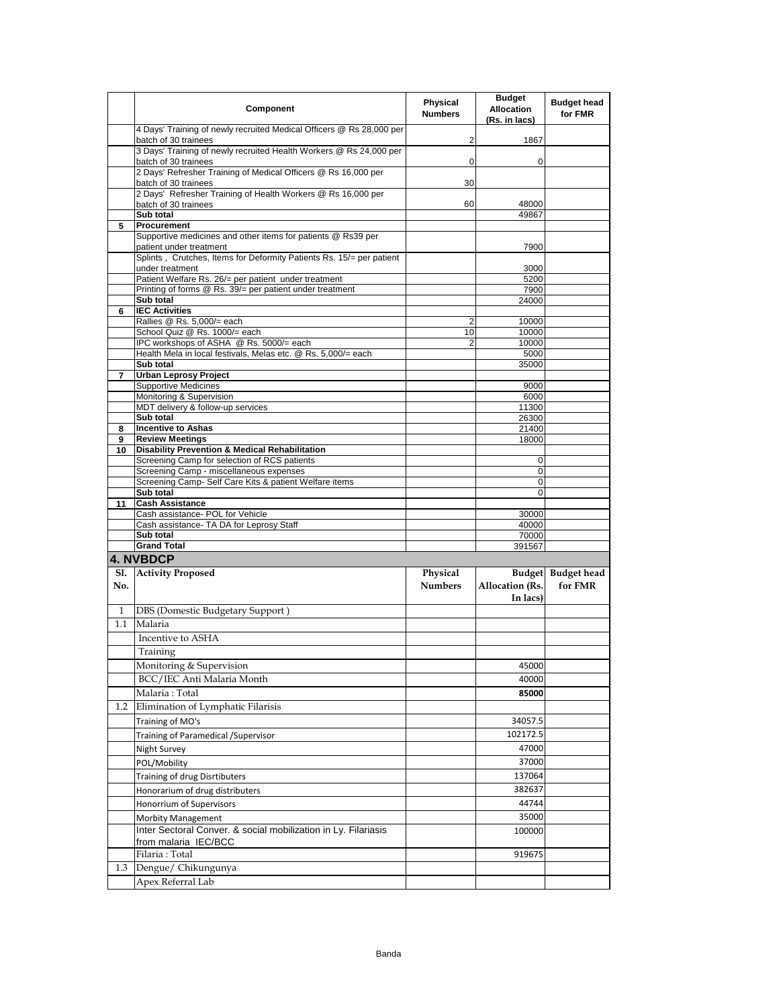|                  | Component                                                                                                | Physical<br><b>Numbers</b> | <b>Budget</b><br><b>Allocation</b><br>(Rs. in lacs) | <b>Budget head</b><br>for FMR |
|------------------|----------------------------------------------------------------------------------------------------------|----------------------------|-----------------------------------------------------|-------------------------------|
|                  | 4 Days' Training of newly recruited Medical Officers @ Rs 28,000 per<br>batch of 30 trainees             | 2                          | 1867                                                |                               |
|                  | 3 Days' Training of newly recruited Health Workers @ Rs 24,000 per                                       |                            |                                                     |                               |
|                  | batch of 30 trainees<br>2 Days' Refresher Training of Medical Officers @ Rs 16,000 per                   | 0                          | 0                                                   |                               |
|                  | batch of 30 trainees<br>2 Days' Refresher Training of Health Workers @ Rs 16,000 per                     | 30                         |                                                     |                               |
|                  | batch of 30 trainees                                                                                     | 60                         | 48000                                               |                               |
| 5                | Sub total<br>Procurement                                                                                 |                            | 49867                                               |                               |
|                  | Supportive medicines and other items for patients @ Rs39 per<br>patient under treatment                  |                            | 7900                                                |                               |
|                  | Splints, Crutches, Items for Deformity Patients Rs. 15/= per patient<br>under treatment                  |                            | 3000                                                |                               |
|                  | Patient Welfare Rs. 26/= per patient under treatment                                                     |                            | 5200                                                |                               |
|                  | Printing of forms @ Rs. 39/= per patient under treatment                                                 |                            | 7900                                                |                               |
| 6                | Sub total<br><b>IEC Activities</b>                                                                       |                            | 24000                                               |                               |
|                  | Rallies @ Rs. 5,000/= each                                                                               | 2                          | 10000                                               |                               |
|                  | School Quiz @ Rs. 1000/= each                                                                            | 10                         | 10000                                               |                               |
|                  | IPC workshops of ASHA @ Rs. 5000/= each<br>Health Mela in local festivals, Melas etc. @ Rs. 5,000/= each | 2                          | 10000<br>5000                                       |                               |
|                  | Sub total                                                                                                |                            | 35000                                               |                               |
| $\overline{7}$   | <b>Urban Leprosy Project</b>                                                                             |                            |                                                     |                               |
|                  | <b>Supportive Medicines</b>                                                                              |                            | 9000                                                |                               |
|                  | Monitoring & Supervision<br>MDT delivery & follow-up services                                            |                            | 6000<br>11300                                       |                               |
|                  | Sub total                                                                                                |                            | 26300                                               |                               |
| 8                | <b>Incentive to Ashas</b>                                                                                |                            | 21400                                               |                               |
| 9                | <b>Review Meetings</b>                                                                                   |                            | 18000                                               |                               |
| 10               | <b>Disability Prevention &amp; Medical Rehabilitation</b>                                                |                            |                                                     |                               |
|                  | Screening Camp for selection of RCS patients<br>Screening Camp - miscellaneous expenses                  |                            | 0<br>$\mathbf 0$                                    |                               |
|                  | Screening Camp- Self Care Kits & patient Welfare items                                                   |                            | 0                                                   |                               |
|                  | Sub total                                                                                                |                            | $\mathbf 0$                                         |                               |
| 11               | <b>Cash Assistance</b>                                                                                   |                            |                                                     |                               |
|                  | Cash assistance- POL for Vehicle                                                                         |                            | 30000                                               |                               |
|                  | Cash assistance- TA DA for Leprosy Staff<br>Sub total                                                    |                            | 40000<br>70000                                      |                               |
|                  | <b>Grand Total</b>                                                                                       |                            | 391567                                              |                               |
|                  | <b>4. NVBDCP</b>                                                                                         |                            |                                                     |                               |
| Sl.<br>No.       | <b>Activity Proposed</b>                                                                                 | Physical<br><b>Numbers</b> | Allocation (Rs.<br>In lacs)                         | Budget Budget head<br>for FMR |
| 1                | DBS (Domestic Budgetary Support)                                                                         |                            |                                                     |                               |
| 1.1              | Malaria                                                                                                  |                            |                                                     |                               |
|                  | Incentive to ASHA                                                                                        |                            |                                                     |                               |
|                  | Training                                                                                                 |                            |                                                     |                               |
|                  | Monitoring & Supervision                                                                                 |                            | 45000                                               |                               |
|                  | BCC/IEC Anti Malaria Month                                                                               |                            | 40000                                               |                               |
|                  | Malaria: Total                                                                                           |                            | 85000                                               |                               |
| $1.2\phantom{0}$ | Elimination of Lymphatic Filarisis                                                                       |                            |                                                     |                               |
|                  | Training of MO's                                                                                         |                            | 34057.5                                             |                               |
|                  | Training of Paramedical /Supervisor                                                                      |                            | 102172.5                                            |                               |
|                  | Night Survey                                                                                             |                            | 47000                                               |                               |
|                  | POL/Mobility                                                                                             |                            | 37000                                               |                               |
|                  | Training of drug Disrtibuters                                                                            |                            | 137064                                              |                               |
|                  | Honorarium of drug distributers                                                                          |                            | 382637                                              |                               |
|                  | Honorrium of Supervisors                                                                                 |                            | 44744                                               |                               |
|                  | <b>Morbity Management</b>                                                                                |                            | 35000                                               |                               |
|                  | Inter Sectoral Conver. & social mobilization in Ly. Filariasis<br>from malaria IEC/BCC                   |                            | 100000                                              |                               |
|                  | Filaria: Total                                                                                           |                            | 919675                                              |                               |
| 1.3              | Dengue/ Chikungunya                                                                                      |                            |                                                     |                               |
|                  | Apex Referral Lab                                                                                        |                            |                                                     |                               |